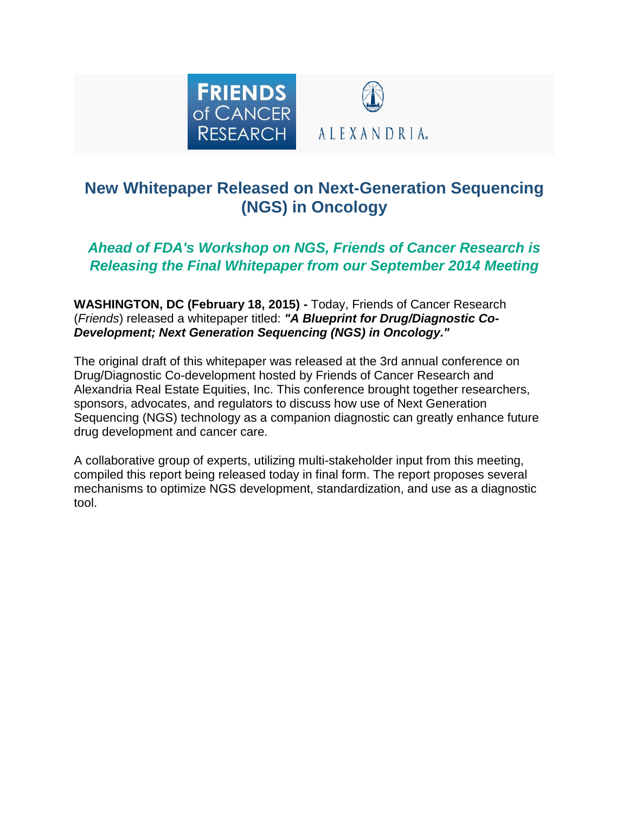

# **New Whitepaper Released on Next-Generation Sequencing (NGS) in Oncology**

## *Ahead of FDA's Workshop on NGS, Friends of Cancer Research is Releasing the Final Whitepaper from our September 2014 Meeting*

**WASHINGTON, DC (February 18, 2015) -** Today, Friends of Cancer Research (*Friends*) released a whitepaper titled: *"A Blueprint for Drug/Diagnostic Co-Development; Next Generation Sequencing (NGS) in Oncology."*

The original draft of this whitepaper was released at the 3rd annual conference on Drug/Diagnostic Co-development hosted by Friends of Cancer Research and Alexandria Real Estate Equities, Inc. This conference brought together researchers, sponsors, advocates, and regulators to discuss how use of Next Generation Sequencing (NGS) technology as a companion diagnostic can greatly enhance future drug development and cancer care.

A collaborative group of experts, utilizing multi-stakeholder input from this meeting, compiled this report being released today in final form. The report proposes several mechanisms to optimize NGS development, standardization, and use as a diagnostic tool.